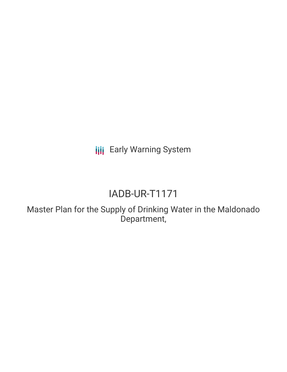**III** Early Warning System

# IADB-UR-T1171

Master Plan for the Supply of Drinking Water in the Maldonado Department,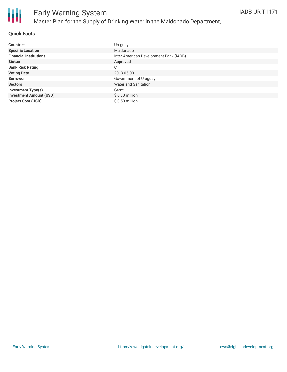

#### **Quick Facts**

| <b>Countries</b>               | Uruguay                                |
|--------------------------------|----------------------------------------|
| <b>Specific Location</b>       | Maldonado                              |
| <b>Financial Institutions</b>  | Inter-American Development Bank (IADB) |
| <b>Status</b>                  | Approved                               |
| <b>Bank Risk Rating</b>        | C                                      |
| <b>Voting Date</b>             | 2018-05-03                             |
| <b>Borrower</b>                | Government of Uruguay                  |
| <b>Sectors</b>                 | Water and Sanitation                   |
| <b>Investment Type(s)</b>      | Grant                                  |
| <b>Investment Amount (USD)</b> | $$0.30$ million                        |
| <b>Project Cost (USD)</b>      | $$0.50$ million                        |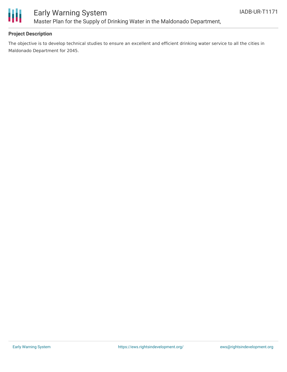

### Early Warning System Master Plan for the Supply of Drinking Water in the Maldonado Department,

#### **Project Description**

The objective is to develop technical studies to ensure an excellent and efficient drinking water service to all the cities in Maldonado Department for 2045.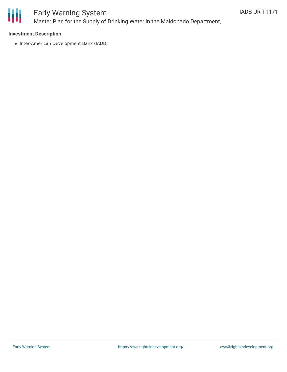

### Early Warning System Master Plan for the Supply of Drinking Water in the Maldonado Department,

#### **Investment Description**

• Inter-American Development Bank (IADB)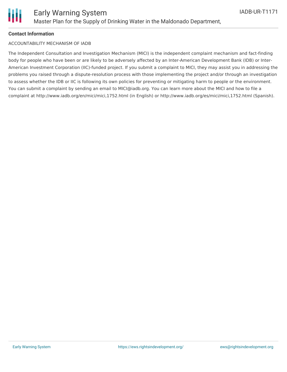

#### **Contact Information**

#### ACCOUNTABILITY MECHANISM OF IADB

The Independent Consultation and Investigation Mechanism (MICI) is the independent complaint mechanism and fact-finding body for people who have been or are likely to be adversely affected by an Inter-American Development Bank (IDB) or Inter-American Investment Corporation (IIC)-funded project. If you submit a complaint to MICI, they may assist you in addressing the problems you raised through a dispute-resolution process with those implementing the project and/or through an investigation to assess whether the IDB or IIC is following its own policies for preventing or mitigating harm to people or the environment. You can submit a complaint by sending an email to MICI@iadb.org. You can learn more about the MICI and how to file a complaint at http://www.iadb.org/en/mici/mici,1752.html (in English) or http://www.iadb.org/es/mici/mici,1752.html (Spanish).